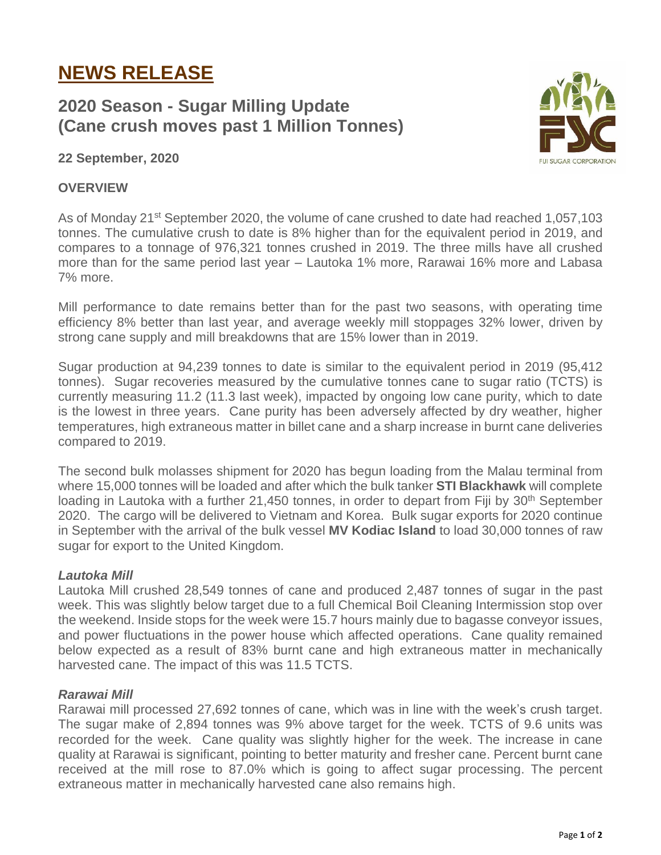# **NEWS RELEASE**

# **2020 Season - Sugar Milling Update (Cane crush moves past 1 Million Tonnes)**



### **22 September, 2020**

#### **OVERVIEW**

As of Monday 21<sup>st</sup> September 2020, the volume of cane crushed to date had reached 1,057,103 tonnes. The cumulative crush to date is 8% higher than for the equivalent period in 2019, and compares to a tonnage of 976,321 tonnes crushed in 2019. The three mills have all crushed more than for the same period last year – Lautoka 1% more, Rarawai 16% more and Labasa 7% more.

Mill performance to date remains better than for the past two seasons, with operating time efficiency 8% better than last year, and average weekly mill stoppages 32% lower, driven by strong cane supply and mill breakdowns that are 15% lower than in 2019.

Sugar production at 94,239 tonnes to date is similar to the equivalent period in 2019 (95,412 tonnes). Sugar recoveries measured by the cumulative tonnes cane to sugar ratio (TCTS) is currently measuring 11.2 (11.3 last week), impacted by ongoing low cane purity, which to date is the lowest in three years. Cane purity has been adversely affected by dry weather, higher temperatures, high extraneous matter in billet cane and a sharp increase in burnt cane deliveries compared to 2019.

The second bulk molasses shipment for 2020 has begun loading from the Malau terminal from where 15,000 tonnes will be loaded and after which the bulk tanker **STI Blackhawk** will complete loading in Lautoka with a further 21,450 tonnes, in order to depart from Fiji by 30<sup>th</sup> September 2020. The cargo will be delivered to Vietnam and Korea. Bulk sugar exports for 2020 continue in September with the arrival of the bulk vessel **MV Kodiac Island** to load 30,000 tonnes of raw sugar for export to the United Kingdom.

#### *Lautoka Mill*

Lautoka Mill crushed 28,549 tonnes of cane and produced 2,487 tonnes of sugar in the past week. This was slightly below target due to a full Chemical Boil Cleaning Intermission stop over the weekend. Inside stops for the week were 15.7 hours mainly due to bagasse conveyor issues, and power fluctuations in the power house which affected operations. Cane quality remained below expected as a result of 83% burnt cane and high extraneous matter in mechanically harvested cane. The impact of this was 11.5 TCTS.

#### *Rarawai Mill*

Rarawai mill processed 27,692 tonnes of cane, which was in line with the week's crush target. The sugar make of 2,894 tonnes was 9% above target for the week. TCTS of 9.6 units was recorded for the week. Cane quality was slightly higher for the week. The increase in cane quality at Rarawai is significant, pointing to better maturity and fresher cane. Percent burnt cane received at the mill rose to 87.0% which is going to affect sugar processing. The percent extraneous matter in mechanically harvested cane also remains high.